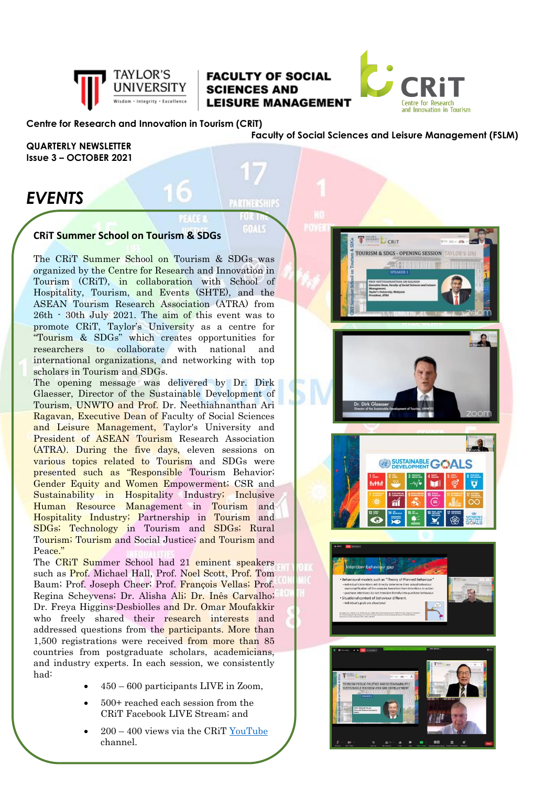

## **FACULTY OF SOCIAL SCIENCES AND LEISURE MANAGEMENT**

**GEALS** 



#### **Centre for Research and Innovation in Tourism (CRiT)**

**Faculty of Social Sciences and Leisure Management (FSLM)**

**QUARTERLY NEWSLETTER Issue 3 – OCTOBER 2021**

# *EVENTS*

#### **CRiT Summer School on Tourism & SDGs**

The CRiT Summer School on Tourism & SDGs was organized by the Centre for Research and Innovation in Tourism (CRiT), in collaboration with School of Hospitality, Tourism, and Events (SHTE), and the ASEAN Tourism Research Association (ATRA) from 26th - 30th July 2021. The aim of this event was to promote CRiT, Taylor's University as a centre for "Tourism & SDGs" which creates opportunities for researchers to collaborate with national and international organizations, and networking with top scholars in Tourism and SDGs.

The opening message was delivered by Dr. Dirk Glaesser, Director of the Sustainable Development of Tourism, UNWTO and Prof. Dr. Neethiahnanthan Ari Ragavan, Executive Dean of Faculty of Social Sciences and Leisure Management, Taylor's University and President of ASEAN Tourism Research Association (ATRA). During the five days, eleven sessions on various topics related to Tourism and SDGs were presented such as "Responsible Tourism Behavior; Gender Equity and Women Empowerment; CSR and Sustainability in Hospitality Industry; Inclusive Human Resource Management in Tourism and Hospitality Industry; Partnership in Tourism and SDGs; Technology in Tourism and SDGs; Rural Tourism; Tourism and Social Justice; and Tourism and Peace'

The CRiT Summer School had 21 eminent speakers such as Prof. Michael Hall, Prof. Noel Scott, Prof. Tom Baum; Prof. Joseph Cheer; Prof. François Vellas; Prof. Regina Scheyvens; Dr. Alisha Ali; Dr. Inês Carvalho; Dr. Freya Higgins-Desbiolles and Dr. Omar Moufakkir who freely shared their research interests and addressed questions from the participants. More than 1,500 registrations were received from more than 85 countries from postgraduate scholars, academicians, and industry experts. In each session, we consistently had:

- 450 600 participants LIVE in Zoom,
- 500+ reached each session from the CRiT Facebook LIVE Stream; and
- 200 400 views via the CRiT [YouTube](https://www.youtube.com/channel/UCsnhUzwArTrucQhkNpHMrAg/videos)  channel.









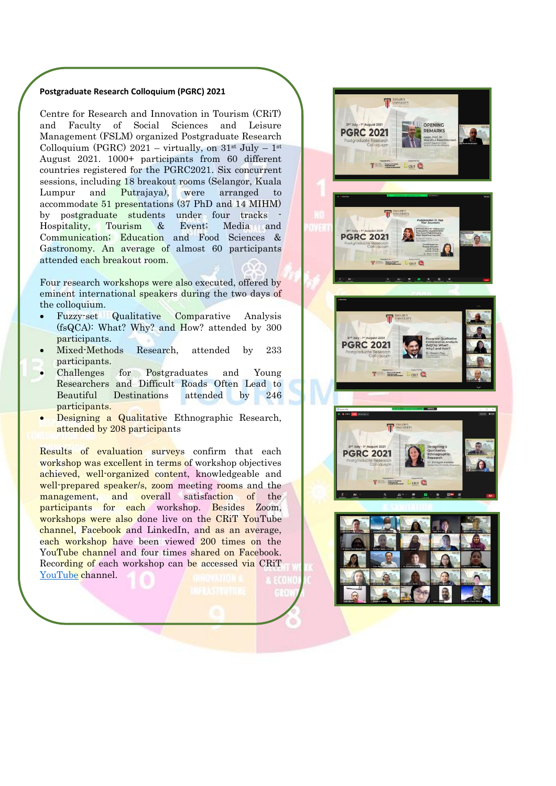#### **Postgraduate Research Colloquium (PGRC) 2021**

Centre for Research and Innovation in Tourism (CRiT) and Faculty of Social Sciences and Leisure Management (FSLM) organized Postgraduate Research Colloquium (PGRC) 2021 – virtually, on  $31^{st}$  July –  $1^{st}$ August 2021. 1000+ participants from 60 different countries registered for the PGRC2021. Six concurrent sessions, including 18 breakout rooms (Selangor, Kuala Lumpur and Putrajaya), were arranged to accommodate 51 presentations (37 PhD and 14 MIHM) by postgraduate students under four tracks Hospitality, Tourism & Event; Media and Communication; Education and Food Sciences & Gastronomy. An average of almost 60 participants attended each breakout room.

Four research workshops were also executed, offered by eminent international speakers during the two days of the colloquium.

- Fuzzy-set Qualitative Comparative Analysis (fsQCA): What? Why? and How? attended by 300 participants.
- Mixed-Methods Research, attended by 233 participants.
- Challenges for Postgraduates and Young Researchers and Difficult Roads Often Lead to Beautiful Destinations attended by 246 participants.
- Designing a Qualitative Ethnographic Research, attended by 208 participants

Results of evaluation surveys confirm that each workshop was excellent in terms of workshop objectives achieved, well-organized content, knowledgeable and well-prepared speaker/s, zoom meeting rooms and the management, and overall satisfaction of the participants for each workshop. Besides Zoom, workshops were also done live on the CRiT YouTube channel, Facebook and LinkedIn, and as an average, each workshop have been viewed 200 times on the YouTube channel and four times shared on Facebook. Recording of each workshop can be accessed via CRiT [YouTube](https://www.youtube.com/channel/UCsnhUzwArTrucQhkNpHMrAg) channel.

**PGRC 2021**  $\odot$ **TEL PGRC 2021** 

**TAYLOR'S** 

**PGRC 2021** 

**OPENING**<br>REMARKS



NOATTER

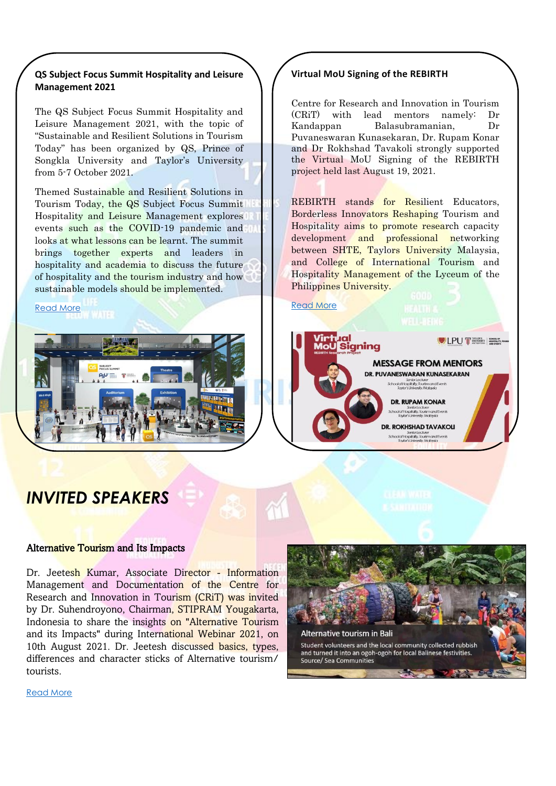### **QS Subject Focus Summit Hospitality and Leisure Management 2021**

The QS Subject Focus Summit Hospitality and Leisure Management 2021, with the topic of "Sustainable and Resilient Solutions in Tourism Today" has been organized by QS, Prince of Songkla University and Taylor's University from 5-7 October 2021.

Themed Sustainable and Resilient Solutions in Tourism Today, the QS Subject Focus Summit Hospitality and Leisure Management explores events such as the COVID-19 pandemic and looks at what lessons can be learnt. The summit brings together experts and leaders in hospitality and academia to discuss the future of hospitality and the tourism industry and how sustainable models should be implemented.

#### [Read More](https://www.facebook.com/CRiT99/posts/271576938166927)



#### **Virtual MoU Signing of the REBIRTH**

Centre for Research and Innovation in Tourism (CRiT) with lead mentors namely: Dr Kandappan Balasubramanian, Dr Puvaneswaran Kunasekaran, Dr. Rupam Konar and Dr Rokhshad Tavakoli strongly supported the Virtual MoU Signing of the REBIRTH project held last August 19, 2021.

REBIRTH stands for Resilient Educators, Borderless Innovators Reshaping Tourism and Hospitality aims to promote research capacity development and professional networking between SHTE, Taylors University Malaysia, and College of International Tourism and Hospitality Management of the Lyceum of the Philippines University.





# *INVITED SPEAKERS*

#### Alternative Tourism and Its Impacts

Dr. Jeetesh Kumar, Associate Director - Information Management and Documentation of the Centre for Research and Innovation in Tourism (CRiT) was invited by Dr. Suhendroyono, Chairman, STIPRAM Yougakarta, Indonesia to share the insights on "Alternative Tourism and its Impacts" during International Webinar 2021, on 10th August 2021. Dr. Jeetesh discussed basics, types, differences and character sticks of Alternative tourism/ tourists.



[Read More](https://www.facebook.com/CRiT99/posts/240658101258811)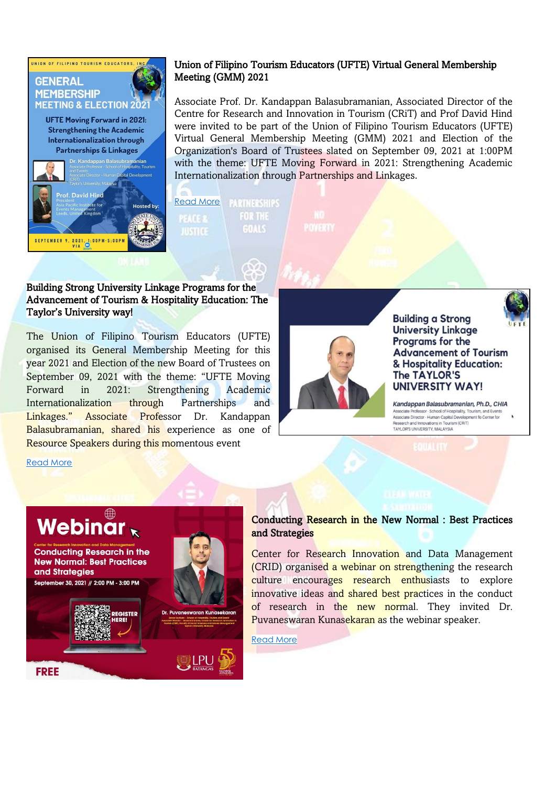

## Union of Filipino Tourism Educators (UFTE) Virtual General Membership Meeting (GMM) 2021

Associate Prof. Dr. Kandappan Balasubramanian, Associated Director of the Centre for Research and Innovation in Tourism (CRiT) and Prof David Hind were invited to be part of the Union of Filipino Tourism Educators (UFTE) Virtual General Membership Meeting (GMM) 2021 and Election of the Organization's Board of Trustees slated on September 09, 2021 at 1:00PM with the theme: UFTE Moving Forward in 2021: Strengthening Academic Internationalization through Partnerships and Linkages.

#### [Read More](https://www.facebook.com/CRiT99/posts/251512116840076) **PARTNERSHIPS PEACER FOR THE GOALS JUSTICE**

Building Strong University Linkage Programs for the Advancement of Tourism & Hospitality Education: The Taylor's University way!

The Union of Filipino Tourism Educators (UFTE) organised its General Membership Meeting for this year 2021 and Election of the new Board of Trustees on September 09, 2021 with the theme: "UFTE Moving Forward in 2021: Strengthening Academic Internationalization through Partnerships and Linkages." Associate Professor Dr. Kandappan Balasubramanian, shared his experience as one of Resource Speakers during this momentous event



**Building a Strong University Linkage** Programs for the **Advancement of Tourism** & Hospitality Education: The TAYLOR'S

**UNIVERSITY WAY!** 

Kandappan Balasubramanian, Ph.D., CHIA Associate Professor - School of Hospitality, Tourism, and Events<br>Associate Director - Human Capital Development fo Center for Research and Innovations in Tourism (CRIT) TAVI OR'S UNIVERSITY MALAYSIA

#### [Read More](https://www.facebook.com/CRiT99/posts/256894716301816)



#### Conducting Research in the New Normal : Best Practices and Strategies

Center for Research Innovation and Data Management (CRID) organised a webinar on strengthening the research culture encourages research enthusiasts to explore innovative ideas and shared best practices in the conduct of research in the new normal. They invited Dr. Puvaneswaran Kunasekaran as the webinar speaker.

[Read More](https://www.facebook.com/CRiT99/posts/269196691738285)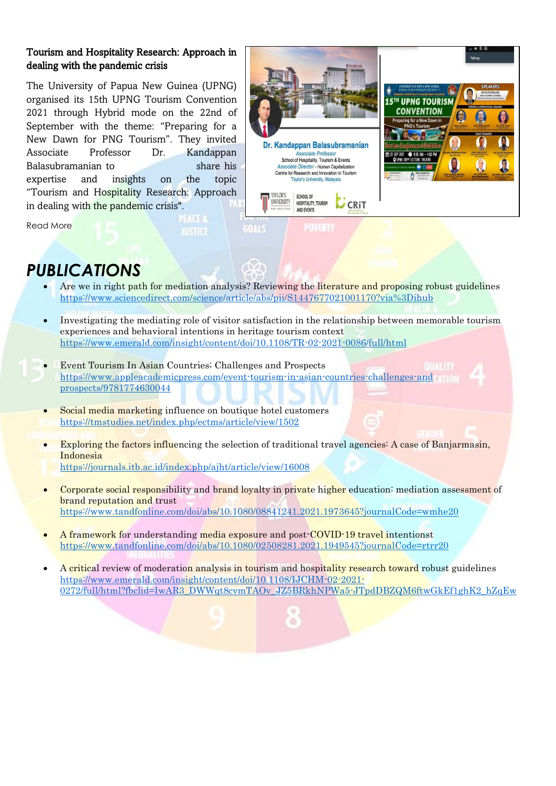## Tourism and Hospitality Research: Approach in dealing with the pandemic crisis

The University of Papua New Guinea (UPNG) organised its 15th UPNG Tourism Convention 2021 through Hybrid mode on the 22nd of September with the theme: "Preparing for a New Dawn for PNG Tourism". They invited Associate Professor Dr. Kandappan Balasubramanian to share his expertise and insights on the topic "Tourism and Hospitality Research: Approach in dealing with the pandemic crisis".



# *PUBLICATIONS*

Read More

- Are we in right path for mediation analysis? Reviewing the literature and proposing robust guidelines <https://www.sciencedirect.com/science/article/abs/pii/S1447677021001170?via%3Dihub>
- Investigating the mediating role of visitor satisfaction in the relationship between memorable tourism experiences and behavioral intentions in heritage tourism context <https://www.emerald.com/insight/content/doi/10.1108/TR-02-2021-0086/full/html>
- Event Tourism In Asian Countries; Challenges and Prospects [https://www.appleacademicpress.com/event-tourism-in-asian-countries-challenges-and](https://www.appleacademicpress.com/event-tourism-in-asian-countries-challenges-and%20prospects/9781774630044) [prospects/9781774630044](https://www.appleacademicpress.com/event-tourism-in-asian-countries-challenges-and%20prospects/9781774630044)
	- Social media marketing influence on boutique hotel customers <https://tmstudies.net/index.php/ectms/article/view/1502>

**JUSTICE** 

- Exploring the factors influencing the selection of traditional travel agencies: A case of Banjarmasin, Indonesia
- <https://journals.itb.ac.id/index.php/ajht/article/view/16008>
- Corporate social responsibility and brand loyalty in private higher education: mediation assessment of **brand reputation and trust** <https://www.tandfonline.com/doi/abs/10.1080/08841241.2021.1973645?journalCode=wmhe20>
- A framework for understanding media exposure and post-COVID-19 travel intentionst <https://www.tandfonline.com/doi/abs/10.1080/02508281.2021.1949545?journalCode=rtrr20>
- A critical review of moderation analysis in tourism and hospitality research toward robust guidelines [https://www.emerald.com/insight/content/doi/10.1108/IJCHM-02-2021-](https://www.emerald.com/insight/content/doi/10.1108/IJCHM-02-2021-0272/full/html?fbclid=IwAR3_DWWqt8cvmTAOv_JZ5BRkhNPWa5-JTpdDBZQM6ftwGkEf1ghK2_hZqEw) [0272/full/html?fbclid=IwAR3\\_DWWqt8cvmTAOv\\_JZ5BRkhNPWa5-JTpdDBZQM6ftwGkEf1ghK2\\_hZqEw](https://www.emerald.com/insight/content/doi/10.1108/IJCHM-02-2021-0272/full/html?fbclid=IwAR3_DWWqt8cvmTAOv_JZ5BRkhNPWa5-JTpdDBZQM6ftwGkEf1ghK2_hZqEw)

ö